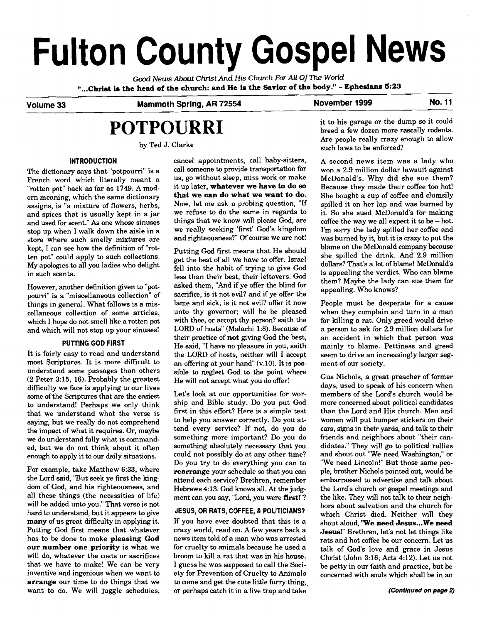# **Fulton County Gospel News**

*Good* **News About Christ And His** *Church For* **All** *OjThe World*  **"...Christ is the head of the church: and He is the Savior of the body."** - **Ephesians 523** 

## Volume 33 **Mammoth Spring, AR 72554** November 1999 **No. 11**

## **POTPOURRI**

by Ted J. Clarke

## **INTRODUCTION**

The dictionary says that "potpourri" is a French word which literally meant a "rotten pot" back as far as 1749. A modem meaning, which the same dictionary assigns, is "a mixture of flowers, herbs, and spices that is usually kept in a jar and used for scent." As one whose sinuses stop up when I walk down the aisle in a store where such smelly mixtures are kept, I can **see** how the definition of "rotten pot" could apply to such collections. My apologies to all you ladies who delight in such scents.

However, another definition given to "potpourri" is a "miscellaneous collection" of things in general. What follows is a miscellaneous collection of some articles, which I hope do not smell like a rotten pot and which will not stop up your sinuses!

## **PUTTING GOD FIRST**

It is fairly easy to read and understand most Scriptures. It is more difficult to understand some passages than others (2 Peter 3:15, 16). Probably the greatest difficulty we face is applying to our lives some of the Scriptures that are the easiest to understand! Perhaps we only think that we understand what the verse is saying, but we really do not comprehend the impact of what it requires. Or, maybe we do understand fully what is commanded, but we do not think about it often enough to apply it to our daily situations.

For example, take Matthew 6:33, where the Lord said, "But seek ye first the kingdom of God, and his righteousness, and all these things (the necessities of life) will be added unto you." That verse is not hard to understand, but it appears to give **many** of us great difficulty in applying it. Putting God first means that whatever has to be done to make **pleasing God our number one priority** is what we will do, whatever the costs or sacrifices that we have to make! We can be very inventive and ingenious when we want to **arrange** our time to do things that we want **to** do. We will juggle schedules, cancel appointments, call baby-sitters, call someone to provide transportation for us, go without sleep, miss work or make it up later, **whatever we have to do so that we can do what we want to do.**  Now, let me ask a probing question, "If we refuse to do the same in regards to things that we know will please God, are we really seeking 'first' God's kingdom and righteousness?" Of course we are not!

Putting God first means that He should get the best of all we have to offer. Israel fell into the habit of trying to give God less than their best, their leftovers. God asked them, "And if ye offer the blind for sacrifice, is it not evil? and if ye offer the lame and sick, is it not evil? offer it now unto thy governor; will he be pleased with thee, or accept thy person? saith the LORD of hosts" (Malachi 1:8). Because of their practice of **not** giving God the best, He said, "I have no pleasure in you, saith the LORD of hosts, neither will I accept an offering at your hand"  $(v.10)$ . It is possible to neglect God to the point where He will not accept what you do offer!

Let's look at our opportunities for worship and Bible study. Do you put God first in this effort? Here is a simple test to help you answer correctly. Do you attend every service? If not, do you do something more important? Do you do something absolutely necessary that you could not possibly do at any other time? Do you try to do everything you can to **rearrange** your schedule **so** that you can attend each service? Brethren, remember Hebrews 4:13. God knows all. At the judgment can you say, "Lord, you were **first!"?** 

## **JESUS, OR RATS, COFFEE,** & **POLITICIANS?**

If you have ever doubted that this is a crazy world, read on. A few years back a news item told of a man who was arrested for cruelty to animals because he used a broom to kill a rat that was in his house. I guess he was supposed to call the Society for Prevention of Cruelty to Animals to come and get the cute little furry thing, or perhaps catch it in a live trap and take

it to his garage or the dump **so** it could breed a few dozen more rascally rodents. Are people really crazy enough to allow such laws to be enforced?

A second news item was a lady who won a 2.9 million dollar lawsuit against McDonald's. Why did she sue them? Because they made their coffee too hot! She bought a cup of coffee and clumsily spilled it on her lap and was burned by it. So she sued McDonald's for making coffee the way we all expect it to be - hot. I'm sorry the lady spilled her coffee and was burned by it, but it is crazy to put the blame on the McDonald company because she spilled the drink. And 2.9 million dollars? That's a lot of blame! McDonald's is appealing the verdict. Who can blame them? Maybe the lady can sue them for appealing. Who knows?

People must be desperate for a cause when they complain and turn in a man for killing a rat. Only greed would drive a person to ask for 2.9 million dollars for an accident in which that person was mainly to blame. Pettiness and greed seem to drive an increasingly larger segment of our society.

Gus Nichols, a great preacher of former days, used to speak of his concern when members of the Lord's church would be more concerned about political candidates than the Lord and His church. Men and women will put bumper stickers on their cars, signs in their yards, and talk to their friends and neighbors about "their candidates." They will go to political rallies and shout out "We need Washington," or "We need Lincoln!" But those same people, brother Nichols pointed out, would be embarrassed to advertise and talk about the Lord's church or gospel meetings and the like. They will not talk to their neighbors about salvation and the church for which Christ died. Neither will they shout aloud, **'We need Jesus...We need Jesus!"** Brethren, let's not let things like rats and hot coffee be our concern. Let us talk of God's love and grace in Jesus Christ (John 3:16; Acts 4:12). Let us not be petty in our faith and practice, but be concerned with souls which shall be in an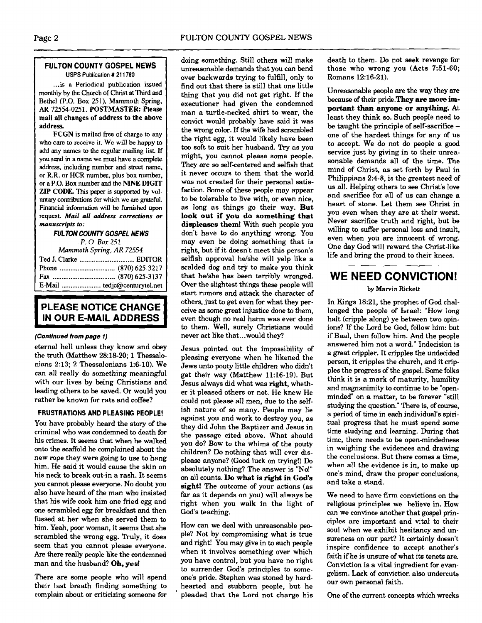## **FULTON COUNTY GOSPEL NEWS** USPS Publication # 21 1780

... is a Periodical publication issued monthly by the Church of Christ at Third and Bethel (P.O. Box 251). Mammoth Spring, AR 72554-0251. **POSTMASTER:** Please mail **all** changes of address to the above address.

**FCGN** is mailed **free** of charge to any who care to receive it. We will be happy to add **any** names to the regular mailing list If you send in a name we must have a complete address, including number and street name, or **R.R.** or HCR number, plus box number, or a P.O. Box number and the **NINE DIGIT**<br>**ZIP CODE.** This paper is supported by vol-<sup>1</sup>**ZIP CODE.** This **paper** is supported by vol- ' **untary** contributions for which we **are** grateful. Financial information wiU be furnished upon <sup>I</sup>request. Mail all **address corrections or**  <sup>I</sup>**manuscripts to:** 

*FUL* **TON COUNTY** *GOSPEL* **NEWS** 

*P.* 0. *Box 251* 

*Mammoth* Spring, *AR 72554* 

## **I PLEASE NOTICE CHANGE IN OUR E-MAIL ADDRESS**

## **(Continued from page 1)**

eternal hell unless they know and obey the truth (Matthew 28:18-20; 1 Thessalonians 2:13; 2 Thessalonians 1:6-10). We can all really do something meaningful with our lives by being Christians and leading others to be saved. **Or** would you rather be known for rats and coffee?

## **FRUSTRATIONS AND PLEASING PEOPLE!**

You have probably heard the story of the criminal who was condemned to death for his crjmes. It **seems** that when he walked onto the scaffold he complained about the new rope they were going to use to hang him. He said it would cause the skin on his neck to break out-in a rash. It seems you cannot please everyone. No doubt you also have heard of the man who insisted that his wife cook him one fried egg and one scrambled egg for breakfast and then fussed at her when she sewed them to him. Yeah, poor woman, it seems that she scrambled the wrong egg. Truly, it does seem that you cannot please everyone. Are there really people like the condemned man and the husband? **Oh, yea!** 

There are some people who will spend their last breath finding something to complain about or criticizing someone for ' pleaded that the Lord not charge his One of the current concepts which wrecks

doing something. Still others will make death to them. Do not seek revenge for<br>unreasonable demands that you can bend those who wrong you (Acts 7:51-60; over backwards trying to fulfill. only to find out that there is still that one little thing that you did not get right. If the executioner had given the condemned man a turtle-necked shirt to wear, the convict would probably have said it was the wrong color. If the wife had scrambled the right egg, it would likely have been too soft to suit her husband. 'Pry as you might, you cannot please some people. They are so self-centered and selfish that it never occurs to them that the world was not created for their personal satisfaction. Some of these people may appear to be tolerable to live with, or even nice, as long as things go their way. **But look out if** you **do something that displeases them!** With such people you don't have to do anything wrong. You may even be doing something that is right, but if it doesn't meet this person's selfish approval he/she will yelp like a scalded dog and try to make you think<br>that he/she has been terribly wronged. that he/she has been terribly wronged. **WE NEED CONVICTION!** Over the slightest things these people will Over the slightest things these people will by Marvin Rickett start rumors and attack the character of others, just to get even for what they per-<br>ceive as some great injustice done to them. lenged the people of Israel: "How long ceive as some great injustice done to them, lenged the people of Israel: "How long<br>even though no real harm was ever done halt (cripple along) ve between two opineven though no real harm was ever done halt (cripple along) ye between two opin-<br>to them. Well, surely Christians would ions? If the Lord be God, follow him: but to them. Well, surely Christians would ions? If the Lord be **Cod,** follow him: but

Jesus pointed out the impossibility of pleasing everyone when he likened the Jews unto pouty little children who didn't get their way (Matthew 11:16-19). But Jesus always did what was **right,** whether it pleased others or not. He knew He could not please all men, due to the selfish nature of so many. People may lie against you and work to destroy you, as they did John the Baptizer and Jesus in the passage cited above. What should you do? Bow to the whims of the pouty children? Do nothing that will ever displease anyone? (Good luck on trying!) Do absolutely nothing? The answer is "No!" on all counts. Do **what** is **right in God's sight!** The outcome of your actions (as far as it depends on you) will always be right when you walk in the light of God's teaching.

How can we deal with unreasonable people? Not by compromising what is true and right! You may give in to such people when it involves something over which you have control, but you have no right to surrender God's principles to someone's pride. Stephen was stoned by hardhearted and stubborn people, but he those who wrong you (Acts 7:51-60;<br>Romans 12:16-21).

Unreasonable people are the way they are because of their pride.They **are more** im**portant than anyone or anything.** At least they think so. Such people need to be taught the principle of self-sacrifice one of the hardest things for any of us to accept. We do not do people a good service just by giving in to their unreasonable demands all of the time. The mind of Christ, **as** set forth by Paul in Philippians 2:4-8, is the greatest need of us all. Helping others to **see** Christ's love and sacrifice for all of us can change a heart of stone. Let them see Christ in you even when they are at their worst. Never sacrifice truth and right, but be willing to suffer personal loss and insult, even when you are innocent of wrong. One day God will reward the Christ-like life and bring the proud to their knees.

if Baal, then follow him. And the people answered him not a word." Indecision is a great crippler. It cripples the undecided person, it cripples the church, and it cripples the progress of the gospel. Some folks think it is a mark of maturity, humility and magnanimity to continue to be "openminded" on a matter, to be forever "still studying the question." There is, of course, a period of time in each individual's spjritual progress that he must spend some time studying and learning. During that time, there needs to be open-mindedness in weighing the evidences and drawing the conclusions. But there comes a time, when all the evidence is in, to make up one's mind, draw the proper conclusions, and take a stand.

We need to have firm convictions on the religious principles we believe in. How can we convince another that gospel principles are important and vital to their soul when we exhibit hesitancy and unsureness on our part? It certainly doesn't inspire confidence to accept another's faith if he is unsure of what its tenets are. Conviction is a vital ingredient for evangelism. Lack of conviction also undercuts our own personal faith.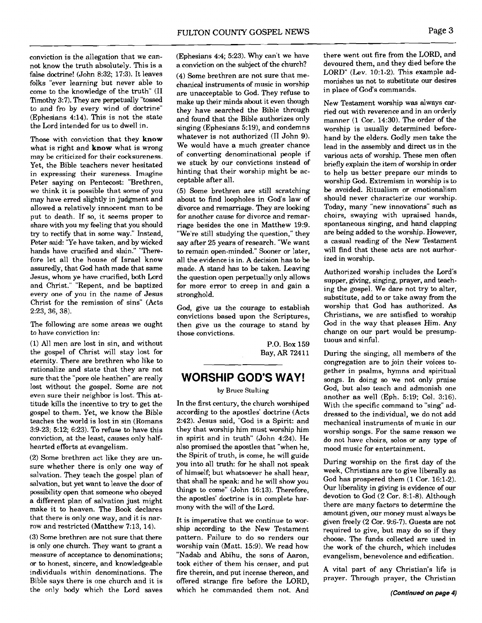conviction is the allegation that we cannot know the truth absolutely. This is a false doctrine! (John 8:32; 17:3). It leaves folks "ever learning but never able to come to the knowledge of the truth" (II Timothy 3:7). They are perpetually **"tossed**  to and fro by every wind of doctrine" (Ephesians 4:14). This is not the state the Lord intended for us to dwell in.

Those with conviction that they **know**  what is right and **know** what is wrong may be criticized for their cocksureness. Yet, the Bible teachers never hesitated in expressing their sureness. Imagine Peter saying on Pentecost: "Brethren, we think it is possible that some of you may have erred slightly in judgment and allowed a relatively innocent man to be put to death. If so, it seems proper to share with you my feeling that you should **try** to rectify that in some way." Instead, Peter said: "Ye have taken, and by wicked hands have crucified and slain." "Therefore let all the house of Israel know assuredly, that God hath made that same Jesus, whom ye have crucified, both Lord and Christ." "Repent, and be baptized every one of you in the name of Jesus Christ for the remission of sins" (Acts 2:23, 36, 38).

The following are some areas we ought to have conviction in:

(1) All men are lost in sin, and without the gospel of Christ will stay lost for eternity. There are brethren who like to rationalize and state that they are not sure that the "pore ole heathen" are really lost without the gospel. Some are not even sure their neighbor is lost. This attitude kills the incentive to **try** to get the gospel to them. Yet, we know the Bible teaches the world is lost in sin (Romans 3:9-23; 5:12; 6:23). To refuse to have this conviction, at the least, causes only halfhearted efforts at evangelism.

(2) Some brethren act like they are unsure whether there is only one way of salvation. They teach the gospel plan of salvation, but yet want to leave the door of possibility open that someone who obeyed a different plan of salvation just might make it to heaven. The Book declares that there is only one way, and it is narrow and restricted (Matthew 7:13, 14).

(3) Some brethren are not sure that there is only one church. They want to grant a measure of acceptance to denominations; or to honest, sincere, and knowledgeable individuals within denominations. The Bible says there is one church and it is the on!y body which the Lord saves (Ephesians 4:4; 5:23). Why can't we have a conviction on the subject of the church?

(4) Some brethren are not sure that mechanical instruments of music in worship are unacceptable to God. They refuse to make up their minds about it even though they have searched the Bible through and found that the Bible authorizes only singing (Ephesians 5:19), and condemns whatever is not authorized (I1 John 9). We would have a much greater chance of converting denominational people if we stuck by our convictions instead of hinting that their worship might be acceptable after all.

(5) Some brethren are still scratching about to find loopholes in God's law of divorce and remarriage. They are looking for another cause for divorce and remarriage besides the one in Matthew 19:9. "We're still studying the question," they say after 25 years of research. "We want to remain open-minded." Sooner or later, all the evidence is in. A decision has to be made. A stand has to be taken. Leaving the question open perpetually only allows for more error to creep in and gain a stronghold.

God, give us the courage to establish convictions based upon the Scriptures, then give us the courage to stand by those convictions.

> P.O. Box 159 Bay, **AR** 72411

## **WORSHIP GOD'S WAY!**

## by Bruce Stulting

In the first century, the church worshiped according to the apostles' doctrine (Acts 2:42). Jesus said, "God is a Spirit: and they that worship him must worship him in spirit and in truth" (John 4:24). He also promised the apostles that "when he, the Spirit of truth, is come, he will guide you into all truth: for he shall not speak of himself; but whatsoever he shall hear, that shall he speak: and he will show you things to come" (John 16:13). Therefore, the apostles' doctrine is in complete harmony with the will of the Lord.

It is imperative that we continue to worship according to the New Testament pattern. Failure to do so renders our worship vain (Matt. 15:9). We read how "Nadab and Abihu, the sons of Aaron, took either of them his censer, and put fire therein, and put incense thereon, and offered strange fire before the LORD, which he commanded them not. And there went out fire from the LORD, and devoured them, and they died before the LORD" (Lev.  $10:1-2$ ). This example admonishes us not to substitute our desires in place of God's commands.

New Testament worship was always carried out with reverence and in an orderly manner (1 Cor. 14:30). The order of the worship is usually determined beforehand by the elders. Godly men take the lead in the assembly and direct us in the various acts of worship. These men often briefly explain the item of worship in order to help us better prepare our minds to worship God. Extremism in worship is to be avoided. Ritualism or emotionalism should never characterize our worship. Today, many "new innovations" such as choirs, swaying with upraised hands, spontaneous singing, and hand clapping are being added **to** the worship. However, a casual reading of the New Testament will find that these acts are not aurhorized in worship.

Authorized worship includes the Lord's supper, giving, singing, prayer, and teaching the gospel. We dare not try to alter, substitute, add to or take away from the worship that God has authorized. As Christians, we are satisfied to worship God in the way that pleases Him. Any change on our part would be presumptuous and sinful.

During the singing, all members of the congregation are to join their voices together in psalms, hymns and spiritual songs. In doing so we not only praise God, but also teach and admonish one another as well (Eph. 5:19; Col. 3:16). With the specific command to "sing" addressed to the individual, we do not add mechanical instruments of music in our worship songs. For the same reason we do not have choirs, solos or any type of mood music for entertainment.

During worship on the first day of the week, Christians are to give liberally as God has prospered them (1 Cor. 16:l-2). Our liberality in giving is evidence of our devotion to God (2 Cor. 8:l-8). Although there are many factors to determine the amount given, our money must always be given freely (2 Cor. 9:6-7). Guests are not required to give, but may do so if they choose. The funds collected are used in the work of the church, which includes evangelism, benevolence and edification.

**A** vital part of any Christian's life is prayer. Through prayer, the Christian